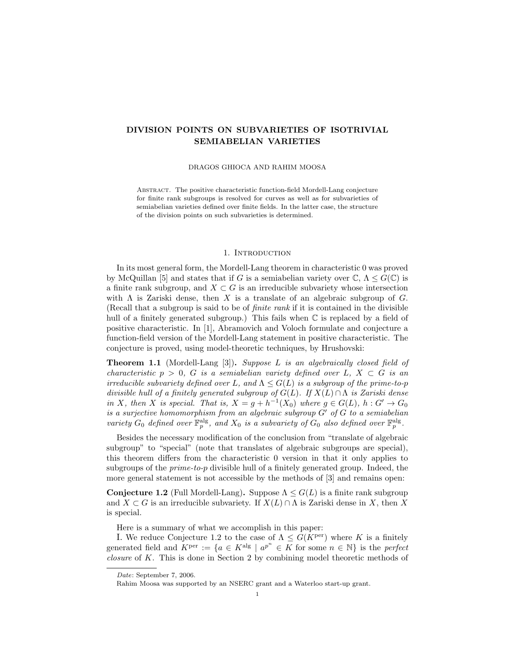# DIVISION POINTS ON SUBVARIETIES OF ISOTRIVIAL SEMIABELIAN VARIETIES

#### DRAGOS GHIOCA AND RAHIM MOOSA

ABSTRACT. The positive characteristic function-field Mordell-Lang conjecture for finite rank subgroups is resolved for curves as well as for subvarieties of semiabelian varieties defined over finite fields. In the latter case, the structure of the division points on such subvarieties is determined.

#### 1. INTRODUCTION

In its most general form, the Mordell-Lang theorem in characteristic 0 was proved by McQuillan [5] and states that if G is a semiabelian variety over  $\mathbb{C}, \Lambda \leq G(\mathbb{C})$  is a finite rank subgroup, and  $X \subset G$  is an irreducible subvariety whose intersection with  $\Lambda$  is Zariski dense, then X is a translate of an algebraic subgroup of  $G$ . (Recall that a subgroup is said to be of finite rank if it is contained in the divisible hull of a finitely generated subgroup.) This fails when  $\mathbb C$  is replaced by a field of positive characteristic. In [1], Abramovich and Voloch formulate and conjecture a function-field version of the Mordell-Lang statement in positive characteristic. The conjecture is proved, using model-theoretic techniques, by Hrushovski:

**Theorem 1.1** (Mordell-Lang [3]). Suppose L is an algebraically closed field of characteristic  $p > 0$ , G is a semiabelian variety defined over L,  $X \subset G$  is an irreducible subvariety defined over L, and  $\Lambda \leq G(L)$  is a subgroup of the prime-to-p divisible hull of a finitely generated subgroup of  $G(L)$ . If  $X(L) \cap \Lambda$  is Zariski dense in X, then X is special. That is,  $X = g + h^{-1}(X_0)$  where  $g \in G(L)$ ,  $h : G' \to G_0$ is a surjective homomorphism from an algebraic subgroup  $G'$  of  $G$  to a semiabelian variety  $G_0$  defined over  $\mathbb{F}_p^{\text{alg}}$ , and  $X_0$  is a subvariety of  $G_0$  also defined over  $\mathbb{F}_p^{\text{alg}}$ .

Besides the necessary modification of the conclusion from "translate of algebraic subgroup" to "special" (note that translates of algebraic subgroups are special), this theorem differs from the characteristic 0 version in that it only applies to subgroups of the *prime-to-p* divisible hull of a finitely generated group. Indeed, the more general statement is not accessible by the methods of [3] and remains open:

**Conjecture 1.2** (Full Mordell-Lang). Suppose  $\Lambda \leq G(L)$  is a finite rank subgroup and  $X \subset G$  is an irreducible subvariety. If  $X(L) \cap \Lambda$  is Zariski dense in X, then X is special.

Here is a summary of what we accomplish in this paper:

I. We reduce Conjecture 1.2 to the case of  $\Lambda \leq G(K^{\text{per}})$  where K is a finitely generated field and  $K^{\text{per}} := \{a \in K^{\text{alg}} \mid a^{p^n} \in K \text{ for some } n \in \mathbb{N}\}\$ is the perfect closure of K. This is done in Section 2 by combining model theoretic methods of

Date: September 7, 2006.

Rahim Moosa was supported by an NSERC grant and a Waterloo start-up grant.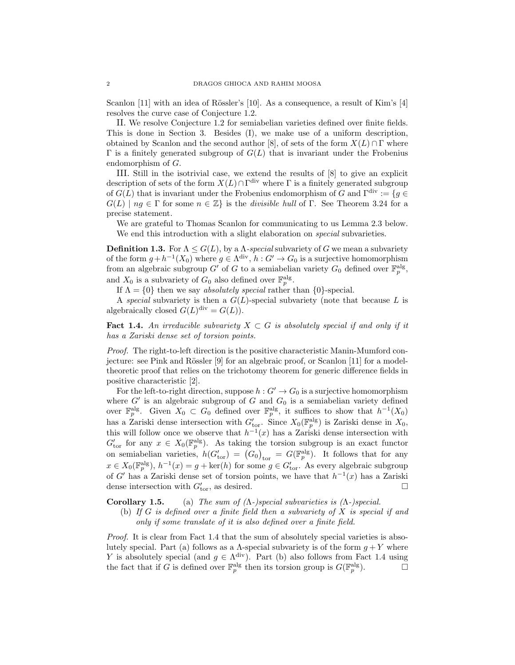Scanlon [11] with an idea of Rössler's [10]. As a consequence, a result of Kim's [4] resolves the curve case of Conjecture 1.2.

II. We resolve Conjecture 1.2 for semiabelian varieties defined over finite fields. This is done in Section 3. Besides (I), we make use of a uniform description, obtained by Scanlon and the second author [8], of sets of the form  $X(L) \cap \Gamma$  where  $\Gamma$  is a finitely generated subgroup of  $G(L)$  that is invariant under the Frobenius endomorphism of G.

III. Still in the isotrivial case, we extend the results of [8] to give an explicit description of sets of the form  $X(L) \cap \Gamma^{\text{div}}$  where  $\Gamma$  is a finitely generated subgroup of  $G(L)$  that is invariant under the Frobenius endomorphism of G and  $\Gamma^{\text{div}} := \{g \in$  $G(L) \mid ng \in \Gamma$  for some  $n \in \mathbb{Z}$  is the *divisible hull* of  $\Gamma$ . See Theorem 3.24 for a precise statement.

We are grateful to Thomas Scanlon for communicating to us Lemma 2.3 below. We end this introduction with a slight elaboration on *special* subvarieties.

**Definition 1.3.** For  $\Lambda \leq G(L)$ , by a  $\Lambda$ -special subvariety of G we mean a subvariety of the form  $g + h^{-1}(X_0)$  where  $g \in \Lambda^{\text{div}}, h : G' \to G_0$  is a surjective homomorphism from an algebraic subgroup G' of G to a semiabelian variety  $G_0$  defined over  $\mathbb{F}_p^{\text{alg}}$ , and  $X_0$  is a subvariety of  $G_0$  also defined over  $\mathbb{F}_p^{\text{alg}}$ .

If  $\Lambda = \{0\}$  then we say absolutely special rather than  $\{0\}$ -special.

A special subvariety is then a  $G(L)$ -special subvariety (note that because L is algebraically closed  $G(L)^{\text{div}} = G(L)$ .

**Fact 1.4.** An irreducible subvariety  $X \subset G$  is absolutely special if and only if it has a Zariski dense set of torsion points.

Proof. The right-to-left direction is the positive characteristic Manin-Mumford conjecture: see Pink and Rössler  $[9]$  for an algebraic proof, or Scanlon  $[11]$  for a modeltheoretic proof that relies on the trichotomy theorem for generic difference fields in positive characteristic [2].

For the left-to-right direction, suppose  $h : G' \to G_0$  is a surjective homomorphism where  $G'$  is an algebraic subgroup of  $G$  and  $G_0$  is a semiabelian variety defined over  $\mathbb{F}_p^{\text{alg}}$ . Given  $X_0 \subset G_0$  defined over  $\mathbb{F}_p^{\text{alg}}$ , it suffices to show that  $h^{-1}(X_0)$ has a Zariski dense intersection with  $G'_{\text{tor}}$ . Since  $X_0(\mathbb{F}_p^{\text{alg}})$  is Zariski dense in  $X_0$ , this will follow once we observe that  $h^{-1}(x)$  has a Zariski dense intersection with  $G'_{\text{tor}}$  for any  $x \in X_0(\mathbb{F}_p^{\text{alg}})$ . As taking the torsion subgroup is an exact functor on semiabelian varieties,  $h(G'_{\text{tor}}) = (G_0)_{\text{tor}} = G(\mathbb{F}_p^{\text{alg}})$ . It follows that for any  $x \in X_0(\mathbb{F}_p^{\text{alg}}), h^{-1}(x) = g + \text{ker}(h)$  for some  $g \in G'_{\text{tor}}$ . As every algebraic subgroup of G' has a Zariski dense set of torsion points, we have that  $h^{-1}(x)$  has a Zariski dense intersection with  $G_{\text{tor}}'$ , as desired.

Corollary 1.5. (a) The sum of  $(Λ-)special$  subvarieties is  $(Λ-)special$ .

(b) If  $G$  is defined over a finite field then a subvariety of  $X$  is special if and only if some translate of it is also defined over a finite field.

Proof. It is clear from Fact 1.4 that the sum of absolutely special varieties is absolutely special. Part (a) follows as a  $\Lambda$ -special subvariety is of the form  $g + Y$  where Y is absolutely special (and  $g \in \Lambda^{\text{div}}$ ). Part (b) also follows from Fact 1.4 using the fact that if G is defined over  $\mathbb{F}_p^{\text{alg}}$  then its torsion group is  $G(\mathbb{F}_p^{\text{alg}})$ .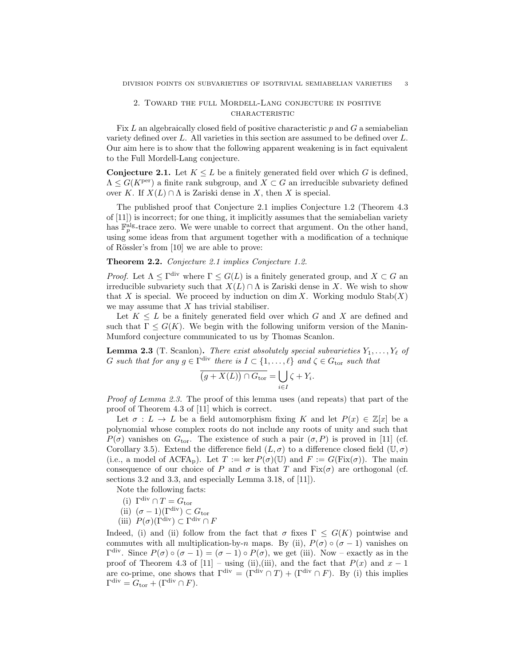## 2. Toward the full Mordell-Lang conjecture in positive **CHARACTERISTIC**

Fix  $L$  an algebraically closed field of positive characteristic  $p$  and  $G$  a semiabelian variety defined over L. All varieties in this section are assumed to be defined over L. Our aim here is to show that the following apparent weakening is in fact equivalent to the Full Mordell-Lang conjecture.

**Conjecture 2.1.** Let  $K \leq L$  be a finitely generated field over which G is defined,  $\Lambda \leq G(K^{\text{per}})$  a finite rank subgroup, and  $X \subset G$  an irreducible subvariety defined over K. If  $X(L) \cap \Lambda$  is Zariski dense in X, then X is special.

The published proof that Conjecture 2.1 implies Conjecture 1.2 (Theorem 4.3 of [11]) is incorrect; for one thing, it implicitly assumes that the semiabelian variety has  $\mathbb{F}_p^{\text{alg}}$ -trace zero. We were unable to correct that argument. On the other hand, using some ideas from that argument together with a modification of a technique of Rössler's from  $[10]$  we are able to prove:

### Theorem 2.2. Conjecture 2.1 implies Conjecture 1.2.

*Proof.* Let  $\Lambda \leq \Gamma^{\text{div}}$  where  $\Gamma \leq G(L)$  is a finitely generated group, and  $X \subset G$  and irreducible subvariety such that  $X(L) \cap \Lambda$  is Zariski dense in X. We wish to show that X is special. We proceed by induction on dim X. Working modulo  $\text{Stab}(X)$ we may assume that  $X$  has trivial stabiliser.

Let  $K \leq L$  be a finitely generated field over which G and X are defined and such that  $\Gamma \leq G(K)$ . We begin with the following uniform version of the Manin-Mumford conjecture communicated to us by Thomas Scanlon.

**Lemma 2.3** (T. Scanlon). There exist absolutely special subvarieties  $Y_1, \ldots, Y_\ell$  of G such that for any  $g \in \Gamma^{\text{div}}$  there is  $I \subset \{1, \ldots, \ell\}$  and  $\zeta \in G_{\text{tor}}$  such that

$$
\overline{(g+X(L))\cap G_{\text{tor}}} = \bigcup_{i\in I} \zeta + Y_i.
$$

Proof of Lemma 2.3. The proof of this lemma uses (and repeats) that part of the proof of Theorem 4.3 of [11] which is correct.

Let  $\sigma: L \to L$  be a field automorphism fixing K and let  $P(x) \in \mathbb{Z}[x]$  be a polynomial whose complex roots do not include any roots of unity and such that  $P(\sigma)$  vanishes on  $G_{\text{tor}}$ . The existence of such a pair  $(\sigma, P)$  is proved in [11] (cf. Corollary 3.5). Extend the difference field  $(L, \sigma)$  to a difference closed field  $(\mathbb{U}, \sigma)$ (i.e., a model of ACFA<sub>p</sub>). Let  $T := \ker P(\sigma)(\mathbb{U})$  and  $F := G(Fix(\sigma))$ . The main consequence of our choice of P and  $\sigma$  is that T and Fix( $\sigma$ ) are orthogonal (cf. sections 3.2 and 3.3, and especially Lemma 3.18, of [11]).

Note the following facts:

- (i)  $\Gamma^{\text{div}} \cap T = G_{\text{tor}}$
- (ii)  $(\sigma 1)(\Gamma^{\text{div}}) \subset G_{\text{tor}}$
- (iii)  $P(\sigma)(\Gamma^{\text{div}}) \subset \Gamma^{\text{div}} \cap F$

Indeed, (i) and (ii) follow from the fact that  $\sigma$  fixes  $\Gamma \leq G(K)$  pointwise and commutes with all multiplication-by-n maps. By (ii),  $P(\sigma) \circ (\sigma - 1)$  vanishes on  $\Gamma^{\text{div}}$ . Since  $P(σ) ∘ (σ − 1) = (σ − 1) ∘ P(σ)$ , we get (iii). Now – exactly as in the proof of Theorem 4.3 of [11] – using (ii),(iii), and the fact that  $P(x)$  and  $x - 1$ are co-prime, one shows that  $\Gamma^{\text{div}} = (\Gamma^{\text{div}} \cap T) + (\Gamma^{\text{div}} \cap F)$ . By (i) this implies  $\Gamma^{\text{div}} = G_{\text{tor}} + (\Gamma^{\text{div}} \cap F).$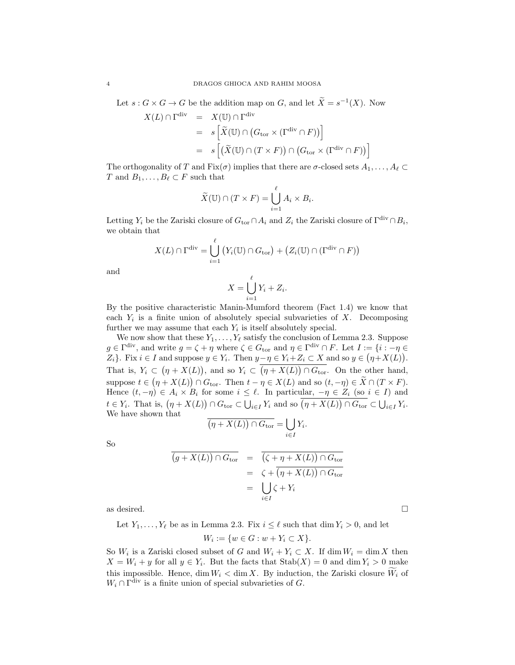Let  $s: G \times G \to G$  be the addition map on G, and let  $\widetilde{X} = s^{-1}(X)$ . Now

$$
X(L) \cap \Gamma^{\text{div}} = X(\mathbb{U}) \cap \Gamma^{\text{div}}
$$
  
=  $s \left[ \tilde{X}(\mathbb{U}) \cap (G_{\text{tor}} \times (\Gamma^{\text{div}} \cap F)) \right]$   
=  $s \left[ (\tilde{X}(\mathbb{U}) \cap (T \times F)) \cap (G_{\text{tor}} \times (\Gamma^{\text{div}} \cap F)) \right]$ 

The orthogonality of T and Fix( $\sigma$ ) implies that there are  $\sigma$ -closed sets  $A_1, \ldots, A_\ell \subset$ T and  $B_1, \ldots, B_\ell \subset F$  such that

$$
\widetilde{X}(\mathbb{U}) \cap (T \times F) = \bigcup_{i=1}^{\ell} A_i \times B_i.
$$

Letting  $Y_i$  be the Zariski closure of  $G_{\text{tor}} \cap A_i$  and  $Z_i$  the Zariski closure of  $\Gamma^{\text{div}} \cap B_i$ , we obtain that

$$
X(L) \cap \Gamma^{\text{div}} = \bigcup_{i=1}^{\ell} \big( Y_i(\mathbb{U}) \cap G_{\text{tor}} \big) + \big( Z_i(\mathbb{U}) \cap (\Gamma^{\text{div}} \cap F) \big)
$$

and

$$
X = \bigcup_{i=1}^{\ell} Y_i + Z_i.
$$

By the positive characteristic Manin-Mumford theorem (Fact 1.4) we know that each  $Y_i$  is a finite union of absolutely special subvarieties of  $X$ . Decomposing further we may assume that each  $Y_i$  is itself absolutely special.

We now show that these  $Y_1, \ldots, Y_\ell$  satisfy the conclusion of Lemma 2.3. Suppose  $g \in \Gamma^{\text{div}}$ , and write  $g = \zeta + \eta$  where  $\zeta \in G_{\text{tor}}$  and  $\eta \in \Gamma^{\text{div}} \cap F$ . Let  $I := \{i : -\eta \in$  $Z_i$ . Fix  $i \in I$  and suppose  $y \in Y_i$ . Then  $y - \eta \in Y_i + Z_i \subset X$  and so  $y \in (\eta + X(L))$ . That is,  $Y_i \subset (\eta + X(L))$ , and so  $Y_i \subset (\eta + X(L)) \cap G_{\text{tor}}$ . On the other hand, suppose  $t \in (\eta + X(L)) \cap G_{\text{tor}}$ . Then  $t - \eta \in X(L)$  and so  $(t, -\eta) \in X \cap (T \times F)$ . Hence  $(t, -\eta) \in A_i \times B_i$  for some  $i \leq \ell$ . In particular,  $-\eta \in Z_i$  (so  $i \in I$ ) and  $t \in Y_i$ . That is,  $(\eta + X(L)) \cap G_{\text{tor}} \subset \bigcup_{i \in I} Y_i$  and so  $(\eta + X(L)) \cap G_{\text{tor}} \subset \bigcup_{i \in I} Y_i$ . We have shown that

$$
\overline{(\eta + X(L)) \cap G_{\text{tor}}} = \bigcup_{i \in I}
$$

 $Y_i$ .

So

$$
\overline{(g+X(L)) \cap G_{\text{tor}}} = \overline{(\zeta + \eta + X(L)) \cap G_{\text{tor}}}
$$
  
=  $\zeta + \overline{(\eta + X(L)) \cap G_{\text{tor}}}$   
=  $\bigcup_{i \in I} \zeta + Y_i$ 

as desired.  $\Box$ 

Let  $Y_1, \ldots, Y_\ell$  be as in Lemma 2.3. Fix  $i \leq \ell$  such that dim  $Y_i > 0$ , and let

$$
W_i := \{ w \in G : w + Y_i \subset X \}.
$$

So  $W_i$  is a Zariski closed subset of G and  $W_i + Y_i \subset X$ . If  $\dim W_i = \dim X$  then  $X = W_i + y$  for all  $y \in Y_i$ . But the facts that  $\text{Stab}(X) = 0$  and  $\dim Y_i > 0$  make this impossible. Hence, dim  $W_i < \dim X$ . By induction, the Zariski closure  $W_i$  of  $W_i \cap \Gamma^{\text{div}}$  is a finite union of special subvarieties of G.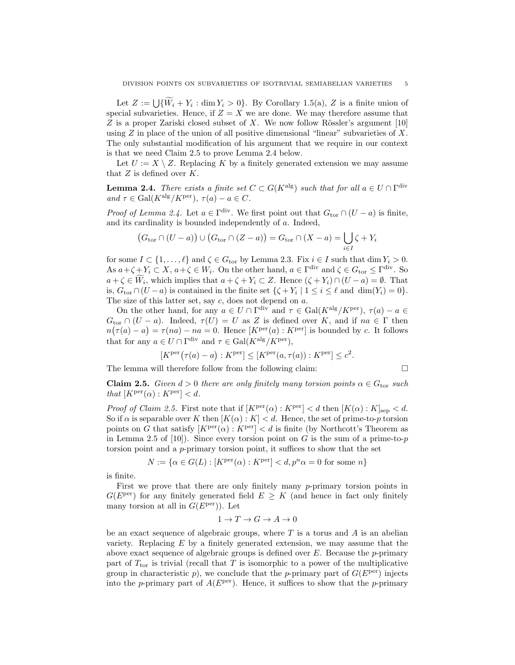Let  $Z := \bigcup \{W_i + Y_i : \dim Y_i > 0\}$ . By Corollary 1.5(a), Z is a finite union of special subvarieties. Hence, if  $Z = X$  we are done. We may therefore assume that  $Z$  is a proper Zariski closed subset of  $X$ . We now follow Rössler's argument [10] using  $Z$  in place of the union of all positive dimensional "linear" subvarieties of  $X$ . The only substantial modification of his argument that we require in our context is that we need Claim 2.5 to prove Lemma 2.4 below.

Let  $U := X \setminus Z$ . Replacing K by a finitely generated extension we may assume that  $Z$  is defined over  $K$ .

**Lemma 2.4.** There exists a finite set  $C \subset G(K^{\text{alg}})$  such that for all  $a \in U \cap \Gamma^{\text{div}}$ and  $\tau \in \text{Gal}(K^{\text{alg}}/K^{\text{per}}), \tau(a) - a \in C.$ 

*Proof of Lemma 2.4.* Let  $a \in \Gamma^{\text{div}}$ . We first point out that  $G_{\text{tor}} \cap (U - a)$  is finite, and its cardinality is bounded independently of a. Indeed,

$$
(G_{\text{tor}} \cap (U - a)) \cup (G_{\text{tor}} \cap (Z - a)) = G_{\text{tor}} \cap (X - a) = \bigcup_{i \in I} \zeta + Y_i
$$

for some  $I \subset \{1, ..., \ell\}$  and  $\zeta \in G_{\text{tor}}$  by Lemma 2.3. Fix  $i \in I$  such that  $\dim Y_i > 0$ . As  $a+\zeta+Y_i \subset X$ ,  $a+\zeta \in W_i$ . On the other hand,  $a \in \Gamma^{\text{div}}$  and  $\zeta \in G_{\text{tor}} \leq \Gamma^{\text{div}}$ . So  $a + \zeta \in W_i$ , which implies that  $a + \zeta + Y_i \subset Z$ . Hence  $(\zeta + Y_i) \cap (U - a) = \emptyset$ . That is,  $G_{\text{tor}} \cap (U - a)$  is contained in the finite set  $\{\zeta + Y_i \mid 1 \le i \le \ell \text{ and } \dim(Y_i) = 0\}.$ The size of this latter set, say  $c$ , does not depend on  $a$ .

On the other hand, for any  $a \in U \cap \Gamma^{\text{div}}$  and  $\tau \in \text{Gal}(K^{\text{alg}}/K^{\text{per}})$ ,  $\tau(a) - a \in$  $G_{\text{tor}} \cap (U - a)$ . Indeed,  $\tau(U) = U$  as Z is defined over K, and if  $na \in \Gamma$  then  $n(\tau(a) - a) = \tau(na) - na = 0$ . Hence  $[K<sup>per</sup>(a) : K<sup>per</sup>]$  is bounded by c. It follows that for any  $a \in U \cap \Gamma^{\text{div}}$  and  $\tau \in \text{Gal}(K^{\text{alg}}/K^{\text{per}})$ ,

$$
[K^{\text{per}}(\tau(a) - a) : K^{\text{per}}] \le [K^{\text{per}}(a, \tau(a)) : K^{\text{per}}] \le c^2.
$$

The lemma will therefore follow from the following claim:

$$
\sqcup
$$

**Claim 2.5.** Given  $d > 0$  there are only finitely many torsion points  $\alpha \in G_{\text{tor}}$  such that  $[K<sup>per</sup>(\alpha) : K<sup>per</sup>] < d$ .

*Proof of Claim 2.5.* First note that if  $[K^{per}(\alpha) : K^{per}] < d$  then  $[K(\alpha) : K]_{sep} < d$ . So if  $\alpha$  is separable over K then  $[K(\alpha):K] < d$ . Hence, the set of prime-to-p torsion points on G that satisfy  $[K<sup>per</sup>(\alpha) : K<sup>per</sup>] < d$  is finite (by Northcott's Theorem as in Lemma 2.5 of [10]). Since every torsion point on G is the sum of a prime-to- $p$ torsion point and a p-primary torsion point, it suffices to show that the set

$$
N := \{ \alpha \in G(L) : [K^{\text{per}}(\alpha) : K^{\text{per}}] < d, p^n \alpha = 0 \text{ for some } n \}
$$

is finite.

First we prove that there are only finitely many p-primary torsion points in  $G(E^{\text{per}})$  for any finitely generated field  $E > K$  (and hence in fact only finitely many torsion at all in  $G(E^{per})$ ). Let

$$
1\to T\to G\to A\to 0
$$

be an exact sequence of algebraic groups, where  $T$  is a torus and  $A$  is an abelian variety. Replacing  $E$  by a finitely generated extension, we may assume that the above exact sequence of algebraic groups is defined over  $E$ . Because the  $p$ -primary part of  $T_{\text{tor}}$  is trivial (recall that T is isomorphic to a power of the multiplicative group in characteristic p), we conclude that the p-primary part of  $G(E^{\text{per}})$  injects into the p-primary part of  $A(E^{per})$ . Hence, it suffices to show that the p-primary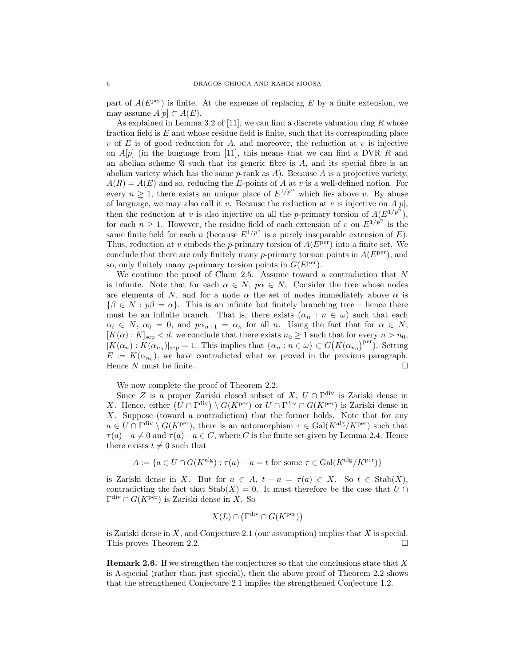part of  $A(E^{per})$  is finite. At the expense of replacing E by a finite extension, we may assume  $A[p] \subset A(E)$ .

As explained in Lemma 3.2 of [11], we can find a discrete valuation ring  $R$  whose fraction field is  $E$  and whose residue field is finite, such that its corresponding place v of E is of good reduction for A, and moreover, the reduction at v is injective on  $A[p]$  (in the language from [11], this means that we can find a DVR R and an abelian scheme  $\mathfrak A$  such that its generic fibre is A, and its special fibre is an abelian variety which has the same  $p$ -rank as  $A$ ). Because  $A$  is a projective variety,  $A(R) = A(E)$  and so, reducing the E-points of A at v is a well-defined notion. For every  $n \geq 1$ , there exists an unique place of  $E^{1/p^n}$  which lies above v. By abuse of language, we may also call it v. Because the reduction at v is injective on  $A[p]$ , then the reduction at v is also injective on all the p-primary torsion of  $A(E^{1/p^n})$ , for each  $n \geq 1$ . However, the residue field of each extension of v on  $E^{1/p^n}$  is the same finite field for each n (because  $E^{1/p^n}$  is a purely inseparable extension of E). Thus, reduction at v embeds the p-primary torsion of  $A(E^{per})$  into a finite set. We conclude that there are only finitely many p-primary torsion points in  $A(E^{\text{per}})$ , and so, only finitely many *p*-primary torsion points in  $G(E^{per})$ .

We continue the proof of Claim 2.5. Assume toward a contradiction that  $N$ is infinite. Note that for each  $\alpha \in N$ ,  $p\alpha \in N$ . Consider the tree whose nodes are elements of N, and for a node  $\alpha$  the set of nodes immediately above  $\alpha$  is  ${\beta \in N : p\beta = \alpha}$ . This is an infinite but finitely branching tree – hence there must be an infinite branch. That is, there exists  $(\alpha_n : n \in \omega)$  such that each  $\alpha_i \in N$ ,  $\alpha_0 = 0$ , and  $p\alpha_{n+1} = \alpha_n$  for all n. Using the fact that for  $\alpha \in N$ ,  $[K(\alpha):K]_{\text{sep}} < d$ , we conclude that there exists  $n_0 \geq 1$  such that for every  $n > n_0$ ,  $[K(\alpha_n): K(\alpha_{n_0})]_{\text{sep}} = 1$ . This implies that  $\{\alpha_n : n \in \omega\} \subset G(K(\alpha_{n_0})^{\text{per}})$ . Setting  $E := K(\alpha_{n_0})$ , we have contradicted what we proved in the previous paragraph. Hence N must be finite.

We now complete the proof of Theorem 2.2.

Since Z is a proper Zariski closed subset of X,  $U \cap \Gamma^{\text{div}}$  is Zariski dense in X. Hence, either  $(U \cap \Gamma^{\text{div}}) \setminus G(K^{\text{per}})$  or  $U \cap \Gamma^{\text{div}} \cap G(K^{\text{per}})$  is Zariski dense in X. Suppose (toward a contradiction) that the former holds. Note that for any  $a \in U \cap \Gamma^{\text{div}} \setminus G(K^{\text{per}})$ , there is an automorphism  $\tau \in \text{Gal}(K^{\text{alg}}/K^{\text{per}})$  such that  $\tau(a) - a \neq 0$  and  $\tau(a) - a \in C$ , where C is the finite set given by Lemma 2.4. Hence there exists  $t \neq 0$  such that

$$
A := \{ a \in U \cap G(K^{\text{alg}}) : \tau(a) - a = t \text{ for some } \tau \in \text{Gal}(K^{\text{alg}}/K^{\text{per}})
$$

is Zariski dense in X. But for  $a \in A$ ,  $t + a = \tau(a) \in X$ . So  $t \in \text{Stab}(X)$ , contradicting the fact that  $\text{Stab}(X) = 0$ . It must therefore be the case that  $U \cap$  $\Gamma^{\text{div}} \cap G(K^{\text{per}})$  is Zariski dense in X. So

$$
X(L) \cap (\Gamma^{\text{div}} \cap G(K^{\text{per}}))
$$

is Zariski dense in  $X$ , and Conjecture 2.1 (our assumption) implies that  $X$  is special. This proves Theorem 2.2.

**Remark 2.6.** If we strengthen the conjectures so that the conclusions state that  $X$ is  $\Lambda$ -special (rather than just special), then the above proof of Theorem 2.2 shows that the strengthened Conjecture 2.1 implies the strengthened Conjecture 1.2.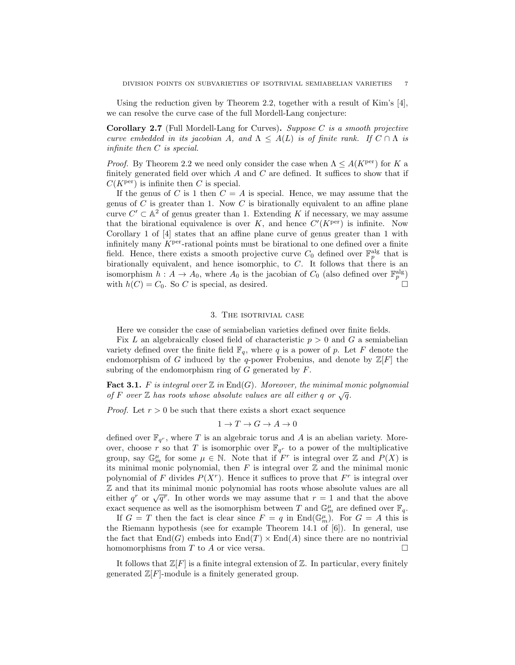Using the reduction given by Theorem 2.2, together with a result of Kim's [4], we can resolve the curve case of the full Mordell-Lang conjecture:

**Corollary 2.7** (Full Mordell-Lang for Curves). Suppose C is a smooth projective curve embedded in its jacobian A, and  $\Lambda \leq A(L)$  is of finite rank. If  $C \cap \Lambda$  is infinite then C is special.

*Proof.* By Theorem 2.2 we need only consider the case when  $\Lambda \leq A(K^{\text{per}})$  for K a finitely generated field over which  $A$  and  $C$  are defined. It suffices to show that if  $C(K<sup>per</sup>)$  is infinite then C is special.

If the genus of C is 1 then  $C = A$  is special. Hence, we may assume that the genus of  $C$  is greater than 1. Now  $C$  is birationally equivalent to an affine plane curve  $C' \subset \mathbb{A}^2$  of genus greater than 1. Extending K if necessary, we may assume that the birational equivalence is over  $K$ , and hence  $C'(K^{\text{per}})$  is infinite. Now Corollary 1 of [4] states that an affine plane curve of genus greater than 1 with infinitely many  $K<sup>per</sup>$ -rational points must be birational to one defined over a finite field. Hence, there exists a smooth projective curve  $C_0$  defined over  $\mathbb{F}_p^{\text{alg}}$  that is birationally equivalent, and hence isomorphic, to C. It follows that there is an isomorphism  $h: A \to A_0$ , where  $A_0$  is the jacobian of  $C_0$  (also defined over  $\mathbb{F}_p^{\text{alg}}$ ) with  $h(C) = C_0$ . So C is special, as desired.

### 3. The isotrivial case

Here we consider the case of semiabelian varieties defined over finite fields.

Fix L an algebraically closed field of characteristic  $p > 0$  and G a semiabelian variety defined over the finite field  $\mathbb{F}_q$ , where q is a power of p. Let F denote the endomorphism of G induced by the q-power Frobenius, and denote by  $\mathbb{Z}[F]$  the subring of the endomorphism ring of  $G$  generated by  $F$ .

**Fact 3.1.** F is integral over  $\mathbb{Z}$  in  $\text{End}(G)$ . Moreover, the minimal monic polynomial of F over Z has roots whose absolute values are all either q or  $\sqrt{q}$ .

*Proof.* Let  $r > 0$  be such that there exists a short exact sequence

$$
1 \to T \to G \to A \to 0
$$

defined over  $\mathbb{F}_{q^r}$ , where T is an algebraic torus and A is an abelian variety. Moreover, choose r so that T is isomorphic over  $\mathbb{F}_{q^r}$  to a power of the multiplicative group, say  $\mathbb{G}_m^{\mu}$  for some  $\mu \in \mathbb{N}$ . Note that if  $F^r$  is integral over  $\mathbb Z$  and  $P(X)$  is its minimal monic polynomial, then  $F$  is integral over  $\mathbb Z$  and the minimal monic polynomial of F divides  $P(X<sup>r</sup>)$ . Hence it suffices to prove that  $F<sup>r</sup>$  is integral over Z and that its minimal monic polynomial has roots whose absolute values are all  $\omega$  and that its filmumal monic polynomial has roots whose absolute values are all<br>either  $q^r$  or  $\sqrt{q^r}$ . In other words we may assume that  $r = 1$  and that the above exact sequence as well as the isomorphism between T and  $\mathbb{G}_m^{\mu}$  are defined over  $\mathbb{F}_q$ .

If  $G = T$  then the fact is clear since  $F = q$  in End $(\mathbb{G}_m^{\mu})$ . For  $G = A$  this is the Riemann hypothesis (see for example Theorem 14.1 of [6]). In general, use the fact that  $\text{End}(G)$  embeds into  $\text{End}(T) \times \text{End}(A)$  since there are no nontrivial homomorphisms from  $T$  to  $A$  or vice versa.

It follows that  $\mathbb{Z}[F]$  is a finite integral extension of  $\mathbb{Z}$ . In particular, every finitely generated  $\mathbb{Z}[F]$ -module is a finitely generated group.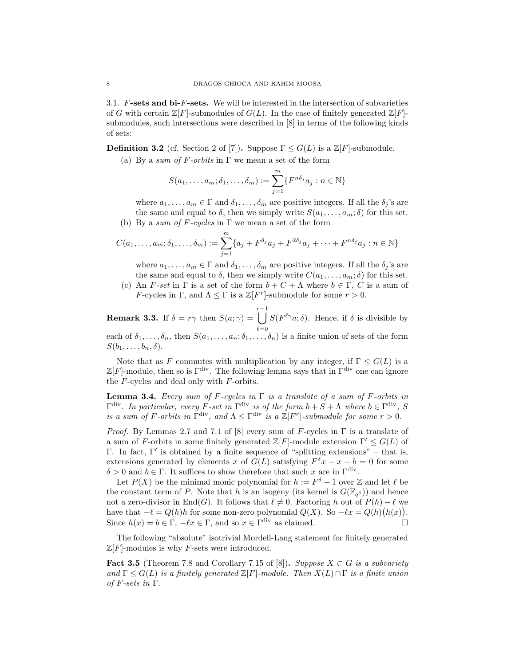3.1.  $F\text{-sets}$  and bi- $F\text{-sets}$ . We will be interested in the intersection of subvarieties of G with certain  $\mathbb{Z}[F]$ -submodules of  $G(L)$ . In the case of finitely generated  $\mathbb{Z}[F]$ submodules, such intersections were described in [8] in terms of the following kinds of sets:

**Definition 3.2** (cf. Section 2 of [7]). Suppose  $\Gamma \leq G(L)$  is a  $\mathbb{Z}[F]$ -submodule.

(a) By a sum of F-orbits in  $\Gamma$  we mean a set of the form

$$
S(a_1,\ldots,a_m;\delta_1,\ldots,\delta_m):=\sum_{j=1}^m\{F^{n\delta_j}a_j:n\in\mathbb{N}\}
$$

where  $a_1, \ldots, a_m \in \Gamma$  and  $\delta_1, \ldots, \delta_m$  are positive integers. If all the  $\delta_i$ 's are the same and equal to  $\delta$ , then we simply write  $S(a_1, \ldots, a_m; \delta)$  for this set.

(b) By a sum of F-cycles in  $\Gamma$  we mean a set of the form

$$
C(a_1,\ldots,a_m;\delta_1,\ldots,\delta_m):=\sum_{j=1}^m\{a_j+F^{\delta_j}a_j+F^{2\delta_j}a_j+\cdots+F^{n\delta_j}a_j:n\in\mathbb{N}\}
$$

where  $a_1, \ldots, a_m \in \Gamma$  and  $\delta_1, \ldots, \delta_m$  are positive integers. If all the  $\delta_j$ 's are the same and equal to  $\delta$ , then we simply write  $C(a_1, \ldots, a_m; \delta)$  for this set.

(c) An F-set in  $\Gamma$  is a set of the form  $b + C + \Lambda$  where  $b \in \Gamma$ , C is a sum of *F*-cycles in Γ, and  $\Lambda \leq \Gamma$  is a  $\mathbb{Z}[F^r]$ -submodule for some  $r > 0$ .

**Remark 3.3.** If  $\delta = r\gamma$  then  $S(a; \gamma) =$  $\left[\int S(F^{\ell\gamma}a;\delta)$ . Hence, if  $\delta$  is divisible by each of  $\delta_1, \ldots, \delta_n$ , then  $S(a_1, \ldots, a_n; \delta_1, \ldots, \delta_n)$  is a finite union of sets of the form  $S(b_1, \ldots, b_n, \delta)$ .

Note that as F commutes with multiplication by any integer, if  $\Gamma \leq G(L)$  is a  $\mathbb{Z}[F]$ -module, then so is Γ<sup>div</sup>. The following lemma says that in Γ<sup>div</sup> one can ignore the  $F$ -cycles and deal only with  $F$ -orbits.

**Lemma 3.4.** Every sum of F-cycles in  $\Gamma$  is a translate of a sum of F-orbits in  $\Gamma^{\text{div}}$ . In particular, every F-set in  $\Gamma^{\text{div}}$  is of the form  $b + S + \Lambda$  where  $b \in \Gamma^{\text{div}}$ , S is a sum of F-orbits in  $\Gamma^{\text{div}}$ , and  $\Lambda \leq \Gamma^{\text{div}}$  is a  $\mathbb{Z}[F^r]$ -submodule for some  $r > 0$ .

*Proof.* By Lemmas 2.7 and 7.1 of [8] every sum of F-cycles in  $\Gamma$  is a translate of a sum of F-orbits in some finitely generated  $\mathbb{Z}[F]$ -module extension  $\Gamma' \leq G(L)$  of Γ. In fact, Γ' is obtained by a finite sequence of "splitting extensions" – that is, extensions generated by elements x of  $G(L)$  satisfying  $F^{\delta}x - x - b = 0$  for some  $\delta > 0$  and  $b \in \Gamma$ . It suffices to show therefore that such x are in  $\Gamma^{\text{div}}$ .

Let  $P(X)$  be the minimal monic polynomial for  $h := F^{\delta} - 1$  over  $\mathbb Z$  and let  $\ell$  be the constant term of P. Note that h is an isogeny (its kernel is  $G(\mathbb{F}_{q^{\delta}})$ ) and hence not a zero-divisor in End(G). It follows that  $\ell \neq 0$ . Factoring h out of  $P(h) - \ell$  we have that  $-\ell = Q(h)h$  for some non-zero polynomial  $Q(X)$ . So  $-\ell x = Q(h)(h(x))$ . Since  $h(x) = b \in \Gamma$ ,  $-\ell x \in \Gamma$ , and so  $x \in \Gamma^{\text{div}}$  as claimed.

The following "absolute" isotrivial Mordell-Lang statement for finitely generated  $\mathbb{Z}[F]$ -modules is why F-sets were introduced.

**Fact 3.5** (Theorem 7.8 and Corollary 7.15 of [8]). Suppose  $X \subset G$  is a subvariety and  $\Gamma \leq G(L)$  is a finitely generated  $\mathbb{Z}[F]$ -module. Then  $X(L) \cap \Gamma$  is a finite union of F-sets in  $\Gamma$ .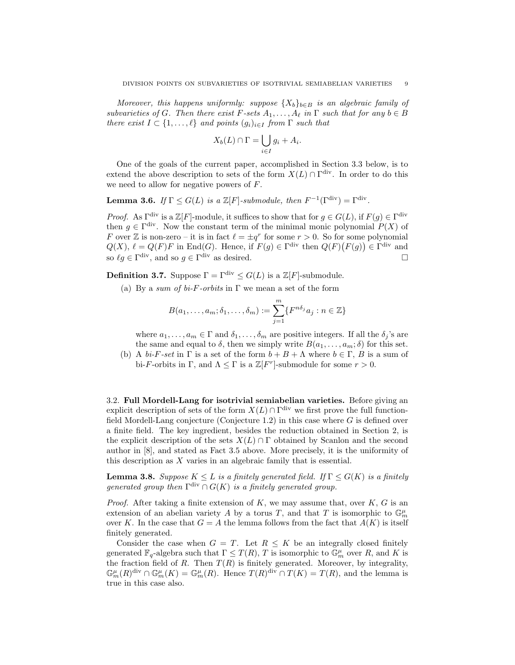Moreover, this happens uniformly: suppose  $\{X_b\}_{b \in B}$  is an algebraic family of subvarieties of G. Then there exist  $F\text{-sets }A_1,\ldots,A_\ell$  in  $\Gamma$  such that for any  $b \in B$ there exist  $I \subset \{1, \ldots, \ell\}$  and points  $(g_i)_{i \in I}$  from  $\Gamma$  such that

$$
X_b(L) \cap \Gamma = \bigcup_{i \in I} g_i + A_i.
$$

One of the goals of the current paper, accomplished in Section 3.3 below, is to extend the above description to sets of the form  $X(L) \cap \Gamma^{\text{div}}$ . In order to do this we need to allow for negative powers of F.

**Lemma 3.6.** If  $\Gamma \leq G(L)$  is a  $\mathbb{Z}[F]$ -submodule, then  $F^{-1}(\Gamma^{\text{div}}) = \Gamma^{\text{div}}$ .

*Proof.* As  $\Gamma^{\text{div}}$  is a  $\mathbb{Z}[F]$ -module, it suffices to show that for  $g \in G(L)$ , if  $F(g) \in \Gamma^{\text{div}}$ then  $g \in \Gamma^{\text{div}}$ . Now the constant term of the minimal monic polynomial  $P(X)$  of F over Z is non-zero – it is in fact  $\ell = \pm q^r$  for some  $r > 0$ . So for some polynomial  $Q(X)$ ,  $\ell = Q(F)F$  in End(G). Hence, if  $F(g) \in \Gamma^{\text{div}}$  then  $Q(F)(F(g)) \in \Gamma^{\text{div}}$  and so  $\ell g \in \Gamma^{\text{div}}$ , and so  $g \in \Gamma^{\text{div}}$  as desired.

**Definition 3.7.** Suppose  $\Gamma = \Gamma^{\text{div}} \leq G(L)$  is a  $\mathbb{Z}[F]$ -submodule.

(a) By a sum of bi-F-orbits in  $\Gamma$  we mean a set of the form

$$
B(a_1,\ldots,a_m;\delta_1,\ldots,\delta_m):=\sum_{j=1}^m\{F^{n\delta_j}a_j:n\in\mathbb{Z}\}\
$$

where  $a_1, \ldots, a_m \in \Gamma$  and  $\delta_1, \ldots, \delta_m$  are positive integers. If all the  $\delta_i$ 's are the same and equal to  $\delta$ , then we simply write  $B(a_1, \ldots, a_m; \delta)$  for this set.

(b) A  $bi-F-set$  in  $\Gamma$  is a set of the form  $b + B + \Lambda$  where  $b \in \Gamma$ , B is a sum of bi-F-orbits in  $\Gamma$ , and  $\Lambda \leq \Gamma$  is a  $\mathbb{Z}[F^r]$ -submodule for some  $r > 0$ .

3.2. Full Mordell-Lang for isotrivial semiabelian varieties. Before giving an explicit description of sets of the form  $X(L) \cap \Gamma^{\text{div}}$  we first prove the full functionfield Mordell-Lang conjecture (Conjecture 1.2) in this case where  $G$  is defined over a finite field. The key ingredient, besides the reduction obtained in Section 2, is the explicit description of the sets  $X(L) \cap \Gamma$  obtained by Scanlon and the second author in [8], and stated as Fact 3.5 above. More precisely, it is the uniformity of this description as  $X$  varies in an algebraic family that is essential.

**Lemma 3.8.** Suppose  $K \leq L$  is a finitely generated field. If  $\Gamma \leq G(K)$  is a finitely generated group then  $\Gamma^{\text{div}} \cap G(K)$  is a finitely generated group.

*Proof.* After taking a finite extension of K, we may assume that, over K, G is an extension of an abelian variety A by a torus T, and that T is isomorphic to  $\mathbb{G}_m^{\mu}$ over K. In the case that  $G = A$  the lemma follows from the fact that  $A(K)$  is itself finitely generated.

Consider the case when  $G = T$ . Let  $R \leq K$  be an integrally closed finitely generated  $\mathbb{F}_q$ -algebra such that  $\Gamma \leq T(R)$ , T is isomorphic to  $\mathbb{G}_m^{\mu}$  over R, and K is the fraction field of R. Then  $T(R)$  is finitely generated. Moreover, by integrality,  $\mathbb{G}_m^{\mu}(R)^{\text{div}} \cap \mathbb{G}_m^{\mu}(K) = \mathbb{G}_m^{\mu}(R)$ . Hence  $T(R)^{\text{div}} \cap T(K) = T(R)$ , and the lemma is true in this case also.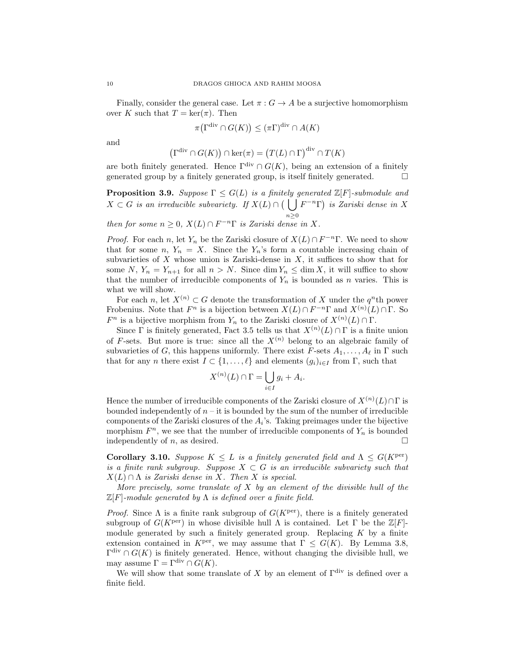Finally, consider the general case. Let  $\pi: G \to A$  be a surjective homomorphism over K such that  $T = \ker(\pi)$ . Then

$$
\pi(\Gamma^{\text{div}} \cap G(K)) \le (\pi \Gamma)^{\text{div}} \cap A(K)
$$

and

$$
\left(\Gamma^{\text{div}} \cap G(K)\right) \cap \ker(\pi) = \left(T(L) \cap \Gamma\right)^{\text{div}} \cap T(K)
$$

are both finitely generated. Hence  $\Gamma^{\text{div}} \cap G(K)$ , being an extension of a finitely generated group by a finitely generated group, is itself finitely generated.  $\Box$ 

**Proposition 3.9.** Suppose  $\Gamma \leq G(L)$  is a finitely generated  $\mathbb{Z}[F]$ -submodule and  $X \subset G$  is an irreducible subvariety. If  $X(L) \cap (\Box)$  $n\geq 0$  $F^{-n}\Gamma$ ) is Zariski dense in X

then for some  $n \geq 0$ ,  $X(L) \cap F^{-n} \Gamma$  is Zariski dense in X.

*Proof.* For each n, let  $Y_n$  be the Zariski closure of  $X(L) \cap F^{-n}\Gamma$ . We need to show that for some n,  $Y_n = X$ . Since the  $Y_n$ 's form a countable increasing chain of subvarieties of  $X$  whose union is Zariski-dense in  $X$ , it suffices to show that for some N,  $Y_n = Y_{n+1}$  for all  $n > N$ . Since  $\dim Y_n \leq \dim X$ , it will suffice to show that the number of irreducible components of  $Y_n$  is bounded as n varies. This is what we will show.

For each n, let  $X^{(n)} \subset G$  denote the transformation of X under the  $q^n$ <sup>th</sup> power Frobenius. Note that  $F^n$  is a bijection between  $X(L) \cap F^{-n} \Gamma$  and  $X^{(n)}(L) \cap \Gamma$ . So  $F^n$  is a bijective morphism from  $Y_n$  to the Zariski closure of  $X^{(n)}(L) \cap \Gamma$ .

Since  $\Gamma$  is finitely generated, Fact 3.5 tells us that  $X^{(n)}(L) \cap \Gamma$  is a finite union of F-sets. But more is true: since all the  $X^{(n)}$  belong to an algebraic family of subvarieties of G, this happens uniformly. There exist  $F$ -sets  $A_1, \ldots, A_\ell$  in  $\Gamma$  such that for any n there exist  $I \subset \{1, \ldots, \ell\}$  and elements  $(g_i)_{i \in I}$  from  $\Gamma$ , such that

$$
X^{(n)}(L) \cap \Gamma = \bigcup_{i \in I} g_i + A_i.
$$

Hence the number of irreducible components of the Zariski closure of  $X^{(n)}(L) \cap \Gamma$  is bounded independently of  $n - i$  is bounded by the sum of the number of irreducible components of the Zariski closures of the  $A_i$ 's. Taking preimages under the bijective morphism  $F<sup>n</sup>$ , we see that the number of irreducible components of  $Y<sub>n</sub>$  is bounded independently of n, as desired.  $\square$ 

Corollary 3.10. Suppose  $K \leq L$  is a finitely generated field and  $\Lambda \leq G(K^{\text{per}})$ is a finite rank subgroup. Suppose  $X \subset G$  is an irreducible subvariety such that  $X(L) \cap \Lambda$  is Zariski dense in X. Then X is special.

More precisely, some translate of  $X$  by an element of the divisible hull of the  $\mathbb{Z}[F]$ -module generated by  $\Lambda$  is defined over a finite field.

*Proof.* Since  $\Lambda$  is a finite rank subgroup of  $G(K^{\text{per}})$ , there is a finitely generated subgroup of  $G(K^{\text{per}})$  in whose divisible hull  $\Lambda$  is contained. Let  $\Gamma$  be the  $\mathbb{Z}[F]$ module generated by such a finitely generated group. Replacing  $K$  by a finite extension contained in  $K^{\text{per}}$ , we may assume that  $\Gamma \leq G(K)$ . By Lemma 3.8,  $\Gamma^{\text{div}} \cap G(K)$  is finitely generated. Hence, without changing the divisible hull, we may assume  $\Gamma = \Gamma^{\text{div}} \cap G(K)$ .

We will show that some translate of X by an element of  $\Gamma^{\text{div}}$  is defined over a finite field.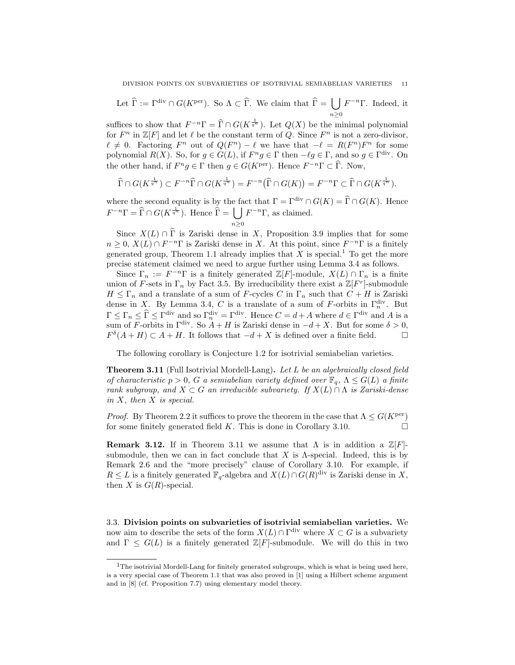Let  $\hat{\Gamma} := \Gamma^{\text{div}} \cap G(K^{\text{per}})$ . So  $\Lambda \subset \hat{\Gamma}$ . We claim that  $\hat{\Gamma} = \bigcup$  $n\geq 0$  $F^{-n}\Gamma$ . Indeed, it

suffices to show that  $F^{-n}\Gamma = \widehat{\Gamma} \cap G(K^{\frac{1}{q^n}})$ . Let  $Q(X)$  be the minimal polynomial for  $F^n$  in  $\mathbb{Z}[F]$  and let  $\ell$  be the constant term of Q. Since  $F^n$  is not a zero-divisor,  $\ell \neq 0$ . Factoring  $F^n$  out of  $Q(F^n) - \ell$  we have that  $-\ell = R(F^n)F^n$  for some polynomial  $R(X)$ . So, for  $g \in G(L)$ , if  $F^ng \in \Gamma$  then  $-\ell g \in \Gamma$ , and so  $g \in \Gamma^{\text{div}}$ . On the other hand, if  $F^n g \in \Gamma$  then  $g \in G(K^{\text{per}})$ . Hence  $F^{-n}\Gamma \subset \widehat{\Gamma}$ . Now,

$$
\widehat{\Gamma} \cap G(K^{\frac{1}{q^n}}) \subset F^{-n} \widehat{\Gamma} \cap G(K^{\frac{1}{q^n}}) = F^{-n} \big( \widehat{\Gamma} \cap G(K) \big) = F^{-n} \Gamma \subset \widehat{\Gamma} \cap G(K^{\frac{1}{q^n}}).
$$

where the second equality is by the fact that  $\Gamma = \Gamma^{\text{div}} \cap G(K) = \widehat{\Gamma} \cap G(K)$ . Hence  $F^{-n}\Gamma = \widehat{\Gamma} \cap G(K^{\frac{1}{q^n}})$ . Hence  $\widehat{\Gamma} = \bigcup$  $n \geq 0$  $F^{-n}\Gamma$ , as claimed.

Since  $X(L) \cap \widehat{\Gamma}$  is Zariski dense in X, Proposition 3.9 implies that for some  $n \geq 0$ ,  $X(L) \cap F^{-n}$  is Zariski dense in X. At this point, since  $F^{-n}$  is a finitely generated group, Theorem 1.1 already implies that  $X$  is special.<sup>1</sup> To get the more precise statement claimed we need to argue further using Lemma 3.4 as follows.

Since  $\Gamma_n := F^{-n}\Gamma$  is a finitely generated  $\mathbb{Z}[F]$ -module,  $X(L) \cap \Gamma_n$  is a finite union of F-sets in  $\Gamma_n$  by Fact 3.5. By irreducibility there exist a  $\mathbb{Z}[F^r]$ -submodule  $H \leq \Gamma_n$  and a translate of a sum of F-cycles C in  $\Gamma_n$  such that  $C + H$  is Zariski dense in X. By Lemma 3.4, C is a translate of a sum of F-orbits in  $\Gamma_n^{\text{div}}$ . But  $\Gamma \leq \Gamma_n \leq \widehat{\Gamma} \leq \Gamma^{\text{div}}$  and so  $\Gamma_n^{\text{div}} = \Gamma^{\text{div}}$ . Hence  $C = d + A$  where  $d \in \Gamma^{\text{div}}$  and A is a sum of F-orbits in  $\Gamma^{\text{div}}$ . So  $A + H$  is Zariski dense in  $-d + X$ . But for some  $\delta > 0$ ,  $F^{\delta}(A + H) \subset A + H$ . It follows that  $-d + X$  is defined over a finite field.

The following corollary is Conjecture 1.2 for isotrivial semiabelian varieties.

Theorem 3.11 (Full Isotrivial Mordell-Lang). Let L be an algebraically closed field of characteristic  $p > 0$ , G a semiabelian variety defined over  $\mathbb{F}_q$ ,  $\Lambda \leq G(L)$  a finite rank subgroup, and  $X \subset G$  an irreducible subvariety. If  $X(L) \cap \Lambda$  is Zariski-dense in X, then X is special.

*Proof.* By Theorem 2.2 it suffices to prove the theorem in the case that  $\Lambda \leq G(K^{\text{per}})$ for some finitely generated field  $K$ . This is done in Corollary 3.10.

**Remark 3.12.** If in Theorem 3.11 we assume that  $\Lambda$  is in addition a  $\mathbb{Z}[F]$ submodule, then we can in fact conclude that  $X$  is  $\Lambda$ -special. Indeed, this is by Remark 2.6 and the "more precisely" clause of Corollary 3.10. For example, if  $R \leq L$  is a finitely generated  $\mathbb{F}_q$ -algebra and  $X(L) \cap G(R)^{\text{div}}$  is Zariski dense in X, then X is  $G(R)$ -special.

3.3. Division points on subvarieties of isotrivial semiabelian varieties. We now aim to describe the sets of the form  $X(L) \cap \Gamma^{\text{div}}$  where  $X \subset G$  is a subvariety and  $\Gamma \leq G(L)$  is a finitely generated  $\mathbb{Z}[F]$ -submodule. We will do this in two

 $1$ The isotrivial Mordell-Lang for finitely generated subgroups, which is what is being used here, is a very special case of Theorem 1.1 that was also proved in [1] using a Hilbert scheme argument and in [8] (cf. Proposition 7.7) using elementary model theory.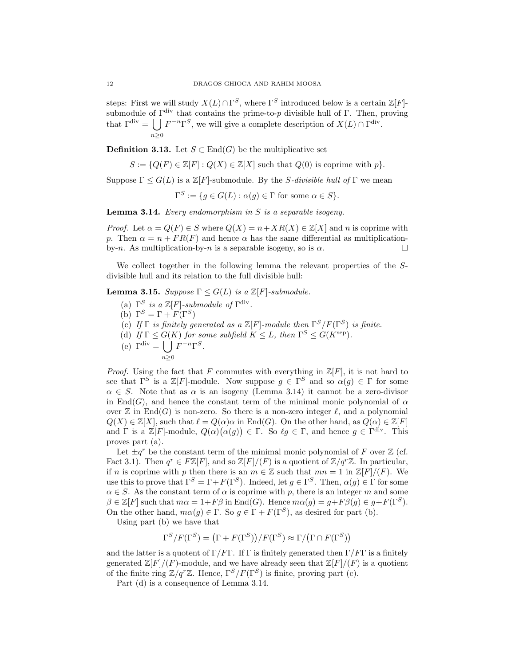steps: First we will study  $X(L) \cap \Gamma^S$ , where  $\Gamma^S$  introduced below is a certain  $\mathbb{Z}[F]$ submodule of  $\Gamma^{\text{div}}$  that contains the prime-to-p divisible hull of Γ. Then, proving that  $\Gamma^{\text{div}} = [ \int F^{-n} \Gamma^S$ , we will give a complete description of  $X(L) \cap \Gamma^{\text{div}}$ .  $n\geq 0$ 

**Definition 3.13.** Let  $S \subset \text{End}(G)$  be the multiplicative set

$$
S := \{ Q(F) \in \mathbb{Z}[F] : Q(X) \in \mathbb{Z}[X] \text{ such that } Q(0) \text{ is coprime with } p \}.
$$

Suppose  $\Gamma \leq G(L)$  is a  $\mathbb{Z}[F]$ -submodule. By the *S*-divisible hull of  $\Gamma$  we mean

$$
\Gamma^{S} := \{ g \in G(L) : \alpha(g) \in \Gamma \text{ for some } \alpha \in S \}.
$$

**Lemma 3.14.** Every endomorphism in  $S$  is a separable isogeny.

*Proof.* Let  $\alpha = Q(F) \in S$  where  $Q(X) = n + XR(X) \in \mathbb{Z}[X]$  and n is coprime with p. Then  $\alpha = n + FR(F)$  and hence  $\alpha$  has the same differential as multiplicationby-n. As multiplication-by-n is a separable isogeny, so is  $\alpha$ .

We collect together in the following lemma the relevant properties of the  $S$ divisible hull and its relation to the full divisible hull:

**Lemma 3.15.** Suppose  $\Gamma \leq G(L)$  is a  $\mathbb{Z}[F]$ -submodule.

- (a)  $\Gamma^S$  is a  $\mathbb{Z}[F]$ -submodule of  $\Gamma^{\text{div}}$ .
- (b)  $\Gamma^S = \Gamma + F(\Gamma^S)$
- (c) If  $\Gamma$  is finitely generated as a  $\mathbb{Z}[F]$ -module then  $\Gamma^S/F(\Gamma^S)$  is finite.
- (d) If  $\Gamma \leq G(K)$  for some subfield  $K \leq L$ , then  $\Gamma^{S} \leq G(K^{\text{sep}})$ .
- (e)  $\Gamma^{\text{div}} = \begin{bmatrix} \end{bmatrix}$  $n\geq 0$  $F^{-n} \Gamma^S$ .

*Proof.* Using the fact that F commutes with everything in  $\mathbb{Z}[F]$ , it is not hard to see that  $\Gamma^{S}$  is a  $\mathbb{Z}[F]$ -module. Now suppose  $g \in \Gamma^{S}$  and so  $\alpha(g) \in \Gamma$  for some  $\alpha \in S$ . Note that as  $\alpha$  is an isogeny (Lemma 3.14) it cannot be a zero-divisor in End(G), and hence the constant term of the minimal monic polynomial of  $\alpha$ over  $\mathbb Z$  in End(G) is non-zero. So there is a non-zero integer  $\ell$ , and a polynomial  $Q(X) \in \mathbb{Z}[X]$ , such that  $\ell = Q(\alpha)\alpha$  in End(G). On the other hand, as  $Q(\alpha) \in \mathbb{Z}[F]$ and  $\Gamma$  is a  $\mathbb{Z}[F]$ -module,  $Q(\alpha)(\alpha(g)) \in \Gamma$ . So  $\ell g \in \Gamma$ , and hence  $g \in \Gamma^{\text{div}}$ . This proves part (a).

Let  $\pm q^r$  be the constant term of the minimal monic polynomial of F over Z (cf. Fact 3.1). Then  $q^r \in F\mathbb{Z}[F]$ , and so  $\mathbb{Z}[F]/(F)$  is a quotient of  $\mathbb{Z}/q^r\mathbb{Z}$ . In particular, if n is coprime with p then there is an  $m \in \mathbb{Z}$  such that  $mn = 1$  in  $\mathbb{Z}[F]/(F)$ . We use this to prove that  $\Gamma^S = \Gamma + F(\Gamma^S)$ . Indeed, let  $g \in \Gamma^S$ . Then,  $\alpha(g) \in \Gamma$  for some  $\alpha \in S$ . As the constant term of  $\alpha$  is coprime with p, there is an integer m and some  $\beta \in \mathbb{Z}[F]$  such that  $m\alpha = 1 + F\beta$  in End(G). Hence  $m\alpha(q) = q + F\beta(q) \in q + F(\Gamma^S)$ . On the other hand,  $m\alpha(q) \in \Gamma$ . So  $q \in \Gamma + F(\Gamma^S)$ , as desired for part (b).

Using part (b) we have that

$$
\Gamma^S/F(\Gamma^S)=\big(\Gamma+F(\Gamma^S)\big)/F(\Gamma^S)\approx \Gamma/\big(\Gamma\cap F(\Gamma^S)\big)
$$

and the latter is a quotent of  $\Gamma/F\Gamma$ . If  $\Gamma$  is finitely generated then  $\Gamma/F\Gamma$  is a finitely generated  $\mathbb{Z}[F]/(F)$ -module, and we have already seen that  $\mathbb{Z}[F]/(F)$  is a quotient of the finite ring  $\mathbb{Z}/q^r\mathbb{Z}$ . Hence,  $\Gamma^S/F(\Gamma^S)$  is finite, proving part (c).

Part (d) is a consequence of Lemma 3.14.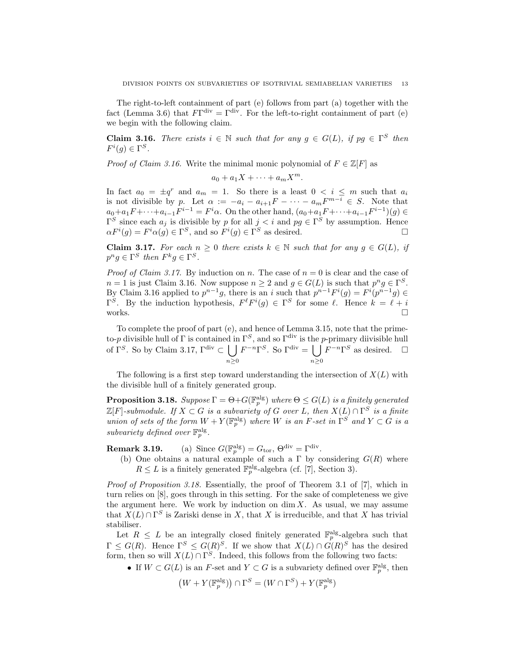The right-to-left containment of part (e) follows from part (a) together with the fact (Lemma 3.6) that  $F\Gamma^{\text{div}} = \Gamma^{\text{div}}$ . For the left-to-right containment of part (e) we begin with the following claim.

**Claim 3.16.** There exists  $i \in \mathbb{N}$  such that for any  $g \in G(L)$ , if  $pg \in \Gamma^S$  then  $F^i(g) \in \Gamma^S$ .

*Proof of Claim 3.16.* Write the minimal monic polynomial of  $F \in \mathbb{Z}[F]$  as

$$
a_0 + a_1 X + \cdots + a_m X^m.
$$

In fact  $a_0 = \pm q^r$  and  $a_m = 1$ . So there is a least  $0 \lt i \leq m$  such that  $a_i$ is not divisible by p. Let  $\alpha := -a_i - a_{i+1}F - \cdots - a_mF^{m-i} \in S$ . Note that  $a_0 + a_1 F + \cdots + a_{i-1} F^{i-1} = F^i \alpha$ . On the other hand,  $(a_0 + a_1 F + \cdots + a_{i-1} F^{i-1})(g) \in$  $\Gamma^S$  since each  $a_j$  is divisible by p for all  $j < i$  and  $pg \in \Gamma^S$  by assumption. Hence  $\alpha F^{i}(g) = F^{i} \alpha(g) \in \Gamma^{S}$ , and so  $F^{i}(g) \in \Gamma^{S}$  as desired.

Claim 3.17. For each  $n \geq 0$  there exists  $k \in \mathbb{N}$  such that for any  $g \in G(L)$ , if  $p^n g \in \Gamma^S$  then  $F^k g \in \Gamma^S$ .

*Proof of Claim 3.17.* By induction on n. The case of  $n = 0$  is clear and the case of  $n = 1$  is just Claim 3.16. Now suppose  $n \geq 2$  and  $g \in G(L)$  is such that  $p^n g \in \Gamma^S$ . By Claim 3.16 applied to  $p^{n-1}g$ , there is an i such that  $p^{n-1}F^{i}(g) = F^{i}(p^{n-1}g) \in$  $\Gamma^S$ . By the induction hypothesis,  $F^{\ell}F^{i}(g) \in \Gamma^S$  for some  $\ell$ . Hence  $k = \ell + i$ works.  $\square$ 

To complete the proof of part (e), and hence of Lemma 3.15, note that the primeto-p divisible hull of Γ is contained in  $\Gamma^S$ , and so  $\Gamma^{\text{div}}$  is the p-primary diivisible hull of  $\Gamma^S$ . So by Claim 3.17,  $\Gamma^{\text{div}} \subset \left\{ \right. \right\}$  $n\geq 0$  $F^{-n}\Gamma^S$ . So  $\Gamma^{\text{div}} = \begin{bmatrix} \end{bmatrix}$  $n\geq 0$  $F^{-n}\Gamma^S$  as desired.  $\Box$ 

The following is a first step toward understanding the intersection of  $X(L)$  with the divisible hull of a finitely generated group.

**Proposition 3.18.** Suppose  $\Gamma = \Theta + G(\mathbb{F}_p^\text{alg})$  where  $\Theta \leq G(L)$  is a finitely generated  $\mathbb{Z}[F]$ -submodule. If  $X \subset G$  is a subvariety of G over L, then  $X(L) \cap \Gamma^S$  is a finite union of sets of the form  $W + Y(\mathbb{F}_p^{\text{alg}})$  where W is an F-set in  $\Gamma^S$  and  $Y \subset G$  is a subvariety defined over  $\mathbb{F}_p^{\text{alg}}$ .

**Remark 3.19.** (a) Since  $G(\mathbb{F}_p^{\text{alg}}) = G_{\text{tor}}, \Theta^{\text{div}} = \Gamma^{\text{div}}.$ 

(b) One obtains a natural example of such a  $\Gamma$  by considering  $G(R)$  where  $R \leq L$  is a finitely generated  $\mathbb{F}_p^{\text{alg}}$ -algebra (cf. [7], Section 3).

Proof of Proposition 3.18. Essentially, the proof of Theorem 3.1 of [7], which in turn relies on [8], goes through in this setting. For the sake of completeness we give the argument here. We work by induction on  $\dim X$ . As usual, we may assume that  $X(L) \cap \Gamma^S$  is Zariski dense in X, that X is irreducible, and that X has trivial stabiliser.

Let  $R \leq L$  be an integrally closed finitely generated  $\mathbb{F}_p^{\text{alg}}$ -algebra such that  $\Gamma \leq G(R)$ . Hence  $\Gamma^S \leq G(R)^S$ . If we show that  $X(L) \cap G(R)^S$  has the desired form, then so will  $X(L) \cap \Gamma^S$ . Indeed, this follows from the following two facts:

• If  $W \subset G(L)$  is an F-set and  $Y \subset G$  is a subvariety defined over  $\mathbb{F}_p^{\text{alg}}$ , then

$$
(W + Y(\mathbb{F}_p^{\text{alg}})) \cap \Gamma^S = (W \cap \Gamma^S) + Y(\mathbb{F}_p^{\text{alg}})
$$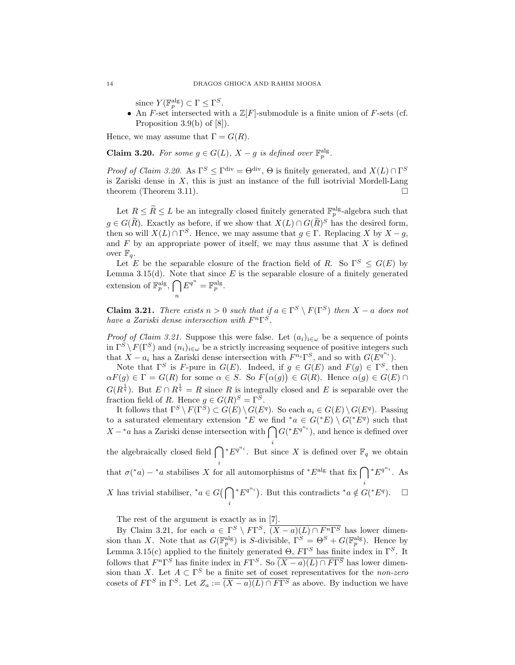since  $Y(\mathbb{F}_p^{\text{alg}}) \subset \Gamma \leq \Gamma^S$ .

• An F-set intersected with a  $\mathbb{Z}[F]$ -submodule is a finite union of F-sets (cf. Proposition 3.9(b) of [8]).

Hence, we may assume that  $\Gamma = G(R)$ .

n

**Claim 3.20.** For some  $g \in G(L)$ ,  $X - g$  is defined over  $\mathbb{F}_p^{\text{alg}}$ .

*Proof of Claim 3.20.* As  $\Gamma^S \leq \Gamma^{\text{div}} = \Theta^{\text{div}}$ ,  $\Theta$  is finitely generated, and  $X(L) \cap \Gamma^S$ is Zariski dense in  $X$ , this is just an instance of the full isotrivial Mordell-Lang theorem (Theorem 3.11).  $\Box$ 

Let  $R \leq \widetilde{R} \leq L$  be an integrally closed finitely generated  $\mathbb{F}_p^{\text{alg}}$ -algebra such that  $g \in G(\tilde{R})$ . Exactly as before, if we show that  $X(L) \cap G(\tilde{R})^S$  has the desired form, then so will  $X(L) \cap \Gamma^S$ . Hence, we may assume that  $g \in \Gamma$ . Replacing X by  $X - g$ , and  $F$  by an appropriate power of itself, we may thus assume that  $X$  is defined over  $\mathbb{F}_q$ .

Let E be the separable closure of the fraction field of R. So  $\Gamma^S \leq G(E)$  by Lemma 3.15(d). Note that since  $E$  is the separable closure of a finitely generated extension of  $\mathbb{F}_p^{\text{alg}}, \bigcap$  $E^{q^n} = \mathbb{F}_p^{\text{alg}}.$ 

**Claim 3.21.** There exists  $n > 0$  such that if  $a \in \Gamma^S \setminus F(\Gamma^S)$  then  $X - a$  does not have a Zariski dense intersection with  $F^{n} \Gamma^{S}$ .

*Proof of Claim 3.21.* Suppose this were false. Let  $(a_i)_{i \in \omega}$  be a sequence of points in  $\Gamma^S \setminus F(\Gamma^S)$  and  $(n_i)_{i \in \omega}$  be a strictly increasing sequence of positive integers such that  $X - a_i$  has a Zariski dense intersection with  $F^{n_i} \Gamma^S$ , and so with  $G(E^{q^{n_i}})$ .

Note that  $\Gamma^S$  is F-pure in  $G(E)$ . Indeed, if  $g \in G(E)$  and  $F(g) \in \Gamma^S$ , then  $\alpha F(g) \in \Gamma = G(R)$  for some  $\alpha \in S$ . So  $F(\alpha(g)) \in G(R)$ . Hence  $\alpha(g) \in G(E) \cap$  $G(R^{\frac{1}{q}})$ . But  $E \cap R^{\frac{1}{q}} = R$  since R is integrally closed and E is separable over the fraction field of R. Hence  $g \in G(R)^S = \Gamma^S$ .

It follows that  $\Gamma^S \setminus F(\Gamma^S) \subset G(E) \setminus G(E^q)$ . So each  $a_i \in G(E) \setminus G(E^q)$ . Passing to a saturated elementary extension  $E$  we find  $a \in G(*E) \setminus G(*E^q)$  such that  $X - a$  has a Zariski dense intersection with  $\bigcap G({^*Eq}^{n_i})$ , and hence is defined over i the algebraically closed field  $\bigcap^* E^{q^{n_i}}$ . But since X is defined over  $\mathbb{F}_q$  we obtain i that  $\sigma({}^*a) - {}^*a$  stabilises X for all automorphisms of  ${}^*E^{\text{alg}}$  that fix  $\bigcap {}^*E^{q^{n_i}}$ . As i X has trivial stabiliser,  $^*a \in G(\bigcap$ \* $E^{q^{n_i}}$ ). But this contradicts \*a ∉  $G(^*E^q)$ . □

i

The rest of the argument is exactly as in [7].

By Claim 3.21, for each  $a \in \Gamma^S \setminus F\Gamma^S$ ,  $\overline{(X-a)(L) \cap F^n\Gamma^S}$  has lower dimension than X. Note that as  $G(\mathbb{F}_p^{\text{alg}})$  is S-divisible,  $\Gamma^S = \Theta^S + G(\mathbb{F}_p^{\text{alg}})$ . Hence by Lemma 3.15(c) applied to the finitely generated  $\Theta$ ,  $F\Gamma^S$  has finite index in  $\Gamma^S$ . It follows that  $F^n\Gamma^S$  has finite index in  $F\Gamma^S$ . So  $\overline{(X-a)(L)\cap F\Gamma^S}$  has lower dimension than X. Let  $A \subset \Gamma^S$  be a finite set of coset representatives for the *non-zero* cosets of  $F\Gamma^S$  in  $\Gamma^S$ . Let  $Z_a := \overline{(X-a)(L) \cap F\Gamma^S}$  as above. By induction we have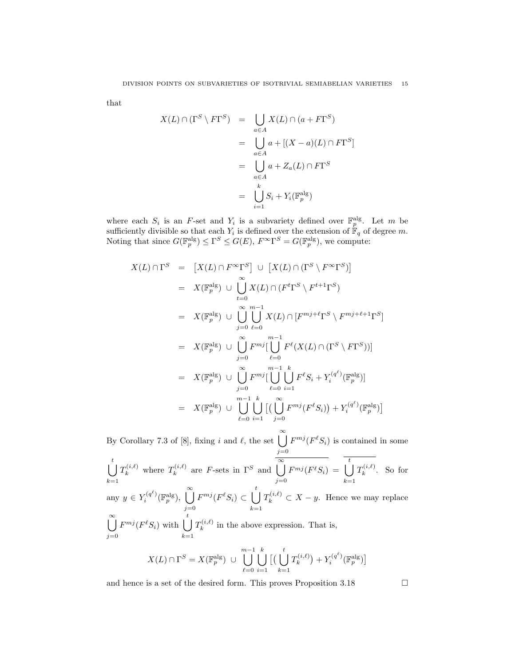that

$$
X(L) \cap (\Gamma^S \setminus F\Gamma^S) = \bigcup_{a \in A} X(L) \cap (a + F\Gamma^S)
$$
  
= 
$$
\bigcup_{a \in A} a + [(X - a)(L) \cap F\Gamma^S]
$$
  
= 
$$
\bigcup_{a \in A} a + Z_a(L) \cap F\Gamma^S
$$
  
= 
$$
\bigcup_{i=1}^k S_i + Y_i(\mathbb{F}_p^{\text{alg}})
$$

where each  $S_i$  is an F-set and  $Y_i$  is a subvariety defined over  $\mathbb{F}_p^{\text{alg}}$ . Let m be sufficiently divisible so that each  $Y_i$  is defined over the extension of  $\mathbb{F}_q$  of degree m. Noting that since  $G(\mathbb{F}_p^{\text{alg}}) \leq \Gamma^S \leq G(E)$ ,  $F^{\infty} \Gamma^S = G(\mathbb{F}_p^{\text{alg}})$ , we compute:

$$
X(L) \cap \Gamma^{S} = [X(L) \cap F^{\infty} \Gamma^{S}] \cup [X(L) \cap (\Gamma^{S} \setminus F^{\infty} \Gamma^{S})]
$$
  
\n
$$
= X(\mathbb{F}_{p}^{\text{alg}}) \cup \bigcup_{i=0}^{\infty} X(L) \cap (F^{t} \Gamma^{S} \setminus F^{t+1} \Gamma^{S})
$$
  
\n
$$
= X(\mathbb{F}_{p}^{\text{alg}}) \cup \bigcup_{j=0}^{\infty} \bigcup_{\ell=0}^{m-1} X(L) \cap [F^{mj+\ell} \Gamma^{S} \setminus F^{mj+\ell+1} \Gamma^{S}]
$$
  
\n
$$
= X(\mathbb{F}_{p}^{\text{alg}}) \cup \bigcup_{j=0}^{\infty} F^{mj} [\bigcup_{\ell=0}^{m-1} F^{\ell}(X(L) \cap (\Gamma^{S} \setminus F\Gamma^{S}))]
$$
  
\n
$$
= X(\mathbb{F}_{p}^{\text{alg}}) \cup \bigcup_{j=0}^{\infty} F^{mj} [\bigcup_{\ell=0}^{m-1} \bigcup_{i=1}^{k} F^{\ell} S_{i} + Y_{i}^{(q^{\ell})} (\mathbb{F}_{p}^{\text{alg}})]
$$
  
\n
$$
= X(\mathbb{F}_{p}^{\text{alg}}) \cup \bigcup_{\ell=0}^{m-1} \bigcup_{i=1}^{k} [(\bigcup_{j=0}^{\infty} F^{mj}(F^{\ell} S_{i})) + Y_{i}^{(q^{\ell})} (\mathbb{F}_{p}^{\text{alg}})]
$$

By Corollary 7.3 of [8], fixing i and  $\ell$ , the set  $\bigcup_{i=1}^{\infty}$  $j=0$  $F^{mj}(F^{\ell}S_i)$  is contained in some  $\begin{bmatrix} t \\ 1 \end{bmatrix}$  $k=1$  $T_k^{(i,\ell)}$  where  $T_k^{(i,\ell)}$  $\overline{\mathbf{R}}_k^{(i,\ell)}$  are *F*-sets in  $\Gamma^S$  and  $\overline{\bigcup_{k=1}^{\infty}}$  $j=0$  $\overline{F^{mj}(F^\ell S_i)} \;=\; \bigcup^t$  $k=1$  $T_k^{(i,\ell)}$  $\kappa^{(i,\ell)}$ . So for any  $y \in Y_i^{(q^{\ell})}(\mathbb{F}_p^{\text{alg}}), \bigcup^{\infty}$  $j=0$  $F^{mj}(F^{\ell}S_i) \subset \bigcup^t$  $k=1$  $T_k^{(i,\ell)} \subset X - y$ . Hence we may replace  $\int_{0}^{\infty}$  $j=0$  $F^{mj}(F^{\ell}S_i)$  with  $\begin{pmatrix} t \\ \end{pmatrix}$  $k=1$  $T_k^{(i,\ell)}$  $\kappa_k^{(i,\ell)}$  in the above expression. That is,  $X(L) \cap \Gamma^S = X(\mathbb{F}_p^{\text{alg}}) \cup$  $\begin{bmatrix}m-1\\1\end{bmatrix}$  $_{\ell=0}$  $\begin{matrix} k \\ \end{matrix}$  $i=1$  $\left[\begin{array}{c} t \\ 1 \end{array}\right]$  $k=1$  $T_k^{(i,\ell)}$  $Y^{(i,\ell)}_k\big) + Y^{(q^\ell)}_i(\mathbb{F}_p^{\mathrm{alg}})\big].$ 

and hence is a set of the desired form. This proves Proposition 3.18  $\Box$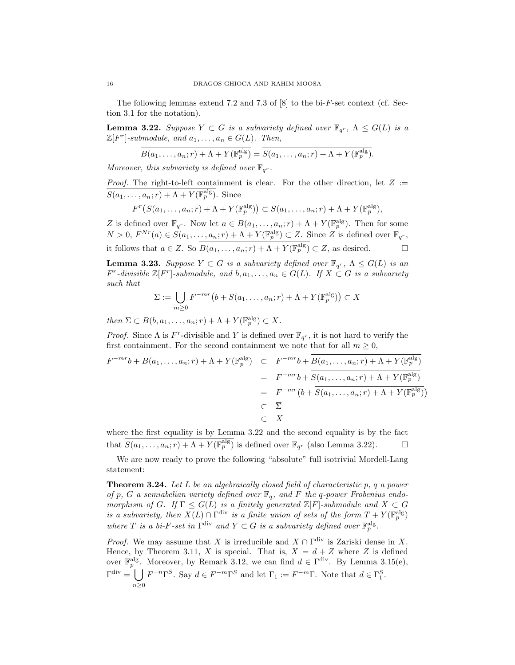The following lemmas extend 7.2 and 7.3 of  $[8]$  to the bi-F-set context (cf. Section 3.1 for the notation).

**Lemma 3.22.** Suppose  $Y \subset G$  is a subvariety defined over  $\mathbb{F}_{q^r}$ ,  $\Lambda \leq G(L)$  is a  $\mathbb{Z}[F^r]$ -submodule, and  $a_1, \ldots, a_n \in G(L)$ . Then,

$$
\overline{B(a_1,\ldots,a_n;r) + \Lambda + Y(\mathbb{F}_p^{\text{alg}})} = \overline{S(a_1,\ldots,a_n;r) + \Lambda + Y(\mathbb{F}_p^{\text{alg}})}.
$$

Moreover, this subvariety is defined over  $\mathbb{F}_{q^r}$ .

*Proof.* The right-to-left containment is clear. For the other direction, let  $Z :=$  $S(a_1, \ldots, a_n; r) + \Lambda + Y(\mathbb{F}_p^{\text{alg}})$ . Since

$$
F^r(S(a_1,\ldots,a_n;r) + \Lambda + Y(\mathbb{F}_p^{\text{alg}})) \subset S(a_1,\ldots,a_n;r) + \Lambda + Y(\mathbb{F}_p^{\text{alg}}),
$$

Z is defined over  $\mathbb{F}_{q^r}$ . Now let  $a \in B(a_1, \ldots, a_n; r) + \Lambda + Y(\mathbb{F}_p^{\text{alg}})$ . Then for some  $N > 0, F^{Nr}(a) \in S(a_1, \ldots, a_n; r) + \Lambda + Y(\mathbb{F}_p^{\text{alg}}) \subset Z$ . Since Z is defined over  $\mathbb{F}_{q^r}$ , it follows that  $a \in Z$ . So  $B(a_1, \ldots, a_n; r) + \Lambda + Y(\mathbb{F}_p^{\text{alg}}) \subset Z$ , as desired.

**Lemma 3.23.** Suppose  $Y \subset G$  is a subvariety defined over  $\mathbb{F}_{q^r}$ ,  $\Lambda \leq G(L)$  is an  $F^r$ -divisible  $\mathbb{Z}[F^r]$ -submodule, and  $b, a_1, \ldots, a_n \in G(L)$ . If  $X \subset G$  is a subvariety such that

$$
\Sigma := \bigcup_{m \ge 0} F^{-mr} \big(b + S(a_1, \dots, a_n; r) + \Lambda + Y(\mathbb{F}_p^{\text{alg}})\big) \subset X
$$

then  $\Sigma \subset B(b, a_1, \ldots, a_n; r) + \Lambda + Y(\mathbb{F}_p^{\text{alg}}) \subset X$ .

*Proof.* Since  $\Lambda$  is  $F^r$ -divisible and Y is defined over  $\mathbb{F}_{q^r}$ , it is not hard to verify the first containment. For the second containment we note that for all  $m \geq 0$ ,

$$
F^{-mr}b + B(a_1, ..., a_n; r) + \Lambda + Y(\mathbb{F}_p^{\text{alg}}) \quad \subset \quad F^{-mr}b + B(a_1, ..., a_n; r) + \Lambda + Y(\mathbb{F}_p^{\text{alg}})
$$
\n
$$
= F^{-mr}b + \overline{S(a_1, ..., a_n; r) + \Lambda + Y(\mathbb{F}_p^{\text{alg}})}
$$
\n
$$
= F^{-mr}\left(b + \overline{S(a_1, ..., a_n; r) + \Lambda + Y(\mathbb{F}_p^{\text{alg}})}\right)
$$
\n
$$
\subset \overline{\Sigma}
$$
\n
$$
\subset X
$$

where the first equality is by Lemma 3.22 and the second equality is by the fact that  $S(a_1, \ldots, a_n; r) + \Lambda + Y(\mathbb{F}_p^{\text{alg}})$  is defined over  $\mathbb{F}_{q^r}$  (also Lemma 3.22).

We are now ready to prove the following "absolute" full isotrivial Mordell-Lang statement:

**Theorem 3.24.** Let  $L$  be an algebraically closed field of characteristic  $p$ ,  $q$  a power of p, G a semiabelian variety defined over  $\mathbb{F}_q$ , and F the q-power Frobenius endomorphism of G. If  $\Gamma \leq G(L)$  is a finitely generated  $\mathbb{Z}[F]$ -submodule and  $X \subset G$ is a subvariety, then  $X(L) \cap \Gamma^{\text{div}}$  is a finite union of sets of the form  $T + Y(\mathbb{F}_p^{\text{alg}})$ where T is a bi-F-set in  $\Gamma^{\text{div}}$  and  $Y \subset G$  is a subvariety defined over  $\mathbb{F}_p^{\text{alg}}$ .

*Proof.* We may assume that X is irreducible and  $X \cap \Gamma^{\text{div}}$  is Zariski dense in X. Hence, by Theorem 3.11, X is special. That is,  $X = d + Z$  where Z is defined over  $\mathbb{F}_p^{\text{alg}}$ . Moreover, by Remark 3.12, we can find  $d \in \Gamma^{\text{div}}$ . By Lemma 3.15(e),  $\Gamma^{\text{div}} = \bigcup F^{-n} \Gamma^S$ . Say  $d \in F^{-m} \Gamma^S$  and let  $\Gamma_1 := F^{-m} \Gamma$ . Note that  $d \in \Gamma_1^S$ .  $n\geq 0$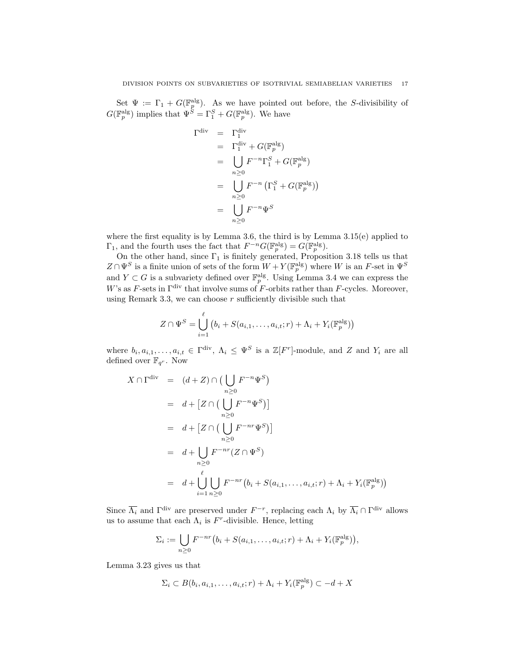Set  $\Psi := \Gamma_1 + G(\mathbb{F}_p^\text{alg})$ . As we have pointed out before, the S-divisibility of  $G(\mathbb{F}_p^{\text{alg}})$  implies that  $\Psi^{\tilde{S}} = \Gamma_1^S + G(\mathbb{F}_p^{\text{alg}})$ . We have

Γ

$$
\begin{array}{rcl}\n\operatorname{div} & = & \Gamma_1^{\operatorname{div}} \\
& = & \Gamma_1^{\operatorname{div}} + G(\mathbb{F}_p^{\operatorname{alg}}) \\
& = & \bigcup_{n \geq 0} F^{-n} \Gamma_1^S + G(\mathbb{F}_p^{\operatorname{alg}}) \\
& = & \bigcup_{n \geq 0} F^{-n} \left( \Gamma_1^S + G(\mathbb{F}_p^{\operatorname{alg}}) \right) \\
& = & \bigcup_{n \geq 0} F^{-n} \Psi^S \\
& & \geq 0\n\end{array}
$$

where the first equality is by Lemma 3.6, the third is by Lemma  $3.15(e)$  applied to  $\Gamma_1$ , and the fourth uses the fact that  $F^{-n}G(\mathbb{F}_p^{\text{alg}}) = G(\mathbb{F}_p^{\text{alg}})$ .

On the other hand, since  $\Gamma_1$  is finitely generated, Proposition 3.18 tells us that  $Z \cap \Psi^S$  is a finite union of sets of the form  $W + Y(\mathbb{F}_p^{\text{alg}})$  where W is an F-set in  $\Psi^S$ and  $Y \subset G$  is a subvariety defined over  $\mathbb{F}_p^{\text{alg}}$ . Using Lemma 3.4 we can express the W's as F-sets in  $\Gamma^{\text{div}}$  that involve sums of F-orbits rather than F-cycles. Moreover, using Remark 3.3, we can choose  $r$  sufficiently divisible such that

$$
Z \cap \Psi^S = \bigcup_{i=1}^{\ell} \left( b_i + S(a_{i,1}, \dots, a_{i,t}; r) + \Lambda_i + Y_i(\mathbb{F}_p^{\text{alg}}) \right)
$$

where  $b_i, a_{i,1}, \ldots, a_{i,t} \in \Gamma^{\text{div}}, \Lambda_i \leq \Psi^S$  is a  $\mathbb{Z}[F^r]$ -module, and Z and Y<sub>i</sub> are all defined over  $\mathbb{F}_{q^r}$ . Now

$$
X \cap \Gamma^{\text{div}} = (d+Z) \cap \left( \bigcup_{n \geq 0} F^{-n} \Psi^S \right)
$$
  
=  $d + [Z \cap \left( \bigcup_{n \geq 0} F^{-n} \Psi^S \right)]$   
=  $d + [Z \cap \left( \bigcup_{n \geq 0} F^{-nr} \Psi^S \right)]$   
=  $d + \bigcup_{n \geq 0} F^{-nr} (Z \cap \Psi^S)$   
=  $d + \bigcup_{i=1}^{\ell} \bigcup_{n \geq 0} F^{-nr} (b_i + S(a_{i,1}, \dots, a_{i,t}; r) + \Lambda_i + Y_i(\mathbb{F}_p^{\text{alg}}))$ 

Since  $\overline{\Lambda_i}$  and  $\Gamma^{\text{div}}$  are preserved under  $F^{-r}$ , replacing each  $\Lambda_i$  by  $\overline{\Lambda_i} \cap \Gamma^{\text{div}}$  allows us to assume that each  $\Lambda_i$  is F<sup>r</sup>-divisible. Hence, letting

$$
\Sigma_i := \bigcup_{n \geq 0} F^{-nr} (b_i + S(a_{i,1}, \ldots, a_{i,t}; r) + \Lambda_i + Y_i(\mathbb{F}_p^{\text{alg}})),
$$

Lemma 3.23 gives us that

$$
\Sigma_i \subset B(b_i, a_{i,1}, \dots, a_{i,t}; r) + \Lambda_i + Y_i(\mathbb{F}_p^{\text{alg}}) \subset -d + X
$$